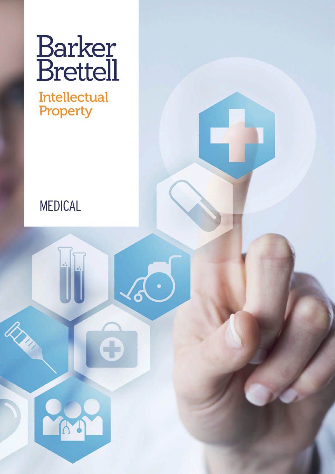# **Barker**<br>Brettell

**Intellectual** Property

# MEDICAL

A

**RAY**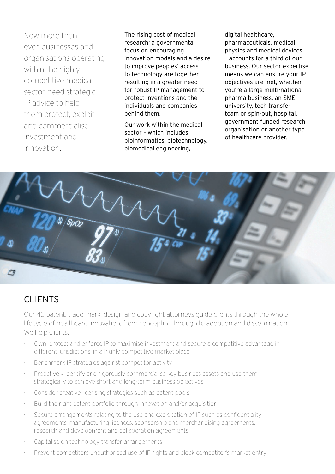Now more than ever, businesses and organisations operating within the highly competitive medical sector need strategic IP advice to help them protect, exploit and commercialise investment and innovation.

The rising cost of medical research; a governmental focus on encouraging innovation models and a desire to improve peoples' access to technology are together resulting in a greater need for robust IP management to protect inventions and the individuals and companies behind them.

Our work within the medical sector – which includes bioinformatics, biotechnology, biomedical engineering,

digital healthcare, pharmaceuticals, medical physics and medical devices – accounts for a third of our business. Our sector expertise means we can ensure your IP objectives are met, whether you're a large multi-national pharma business, an SME, university, tech transfer team or spin-out, hospital, government funded research organisation or another type of healthcare provider.



#### CLIENTS

Our 45 patent, trade mark, design and copyright attorneys guide clients through the whole lifecycle of healthcare innovation, from conception through to adoption and dissemination. We help clients:

- Own, protect and enforce IP to maximise investment and secure a competitive advantage in different jurisdictions, in a highly competitive market place
- Benchmark IP strategies against competitor activity
- Proactively identify and rigorously commercialise key business assets and use them strategically to achieve short and long-term business objectives
- Consider creative licensing strategies such as patent pools
- Build the right patent portfolio through innovation and/or acquisition
- Secure arrangements relating to the use and exploitation of IP such as confidentiality agreements, manufacturing licences, sponsorship and merchandising agreements, research and development and collaboration agreements
- Capitalise on technology transfer arrangements
- Prevent competitors unauthorised use of IP rights and block competitor's market entry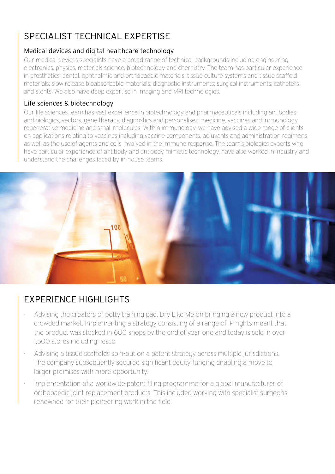## SPECIALIST TECHNICAL EXPERTISE

#### Medical devices and digital healthcare technology

Our medical devices specialists have a broad range of technical backgrounds including engineering, electronics, physics, materials science, biotechnology and chemistry. The team has particular experience in prosthetics; dental, ophthalmic and orthopaedic materials; tissue culture systems and tissue scaffold materials; slow release bioabsorbable materials; diagnostic instruments; surgical instruments; catheters and stents. We also have deep expertise in imaging and MRI technologies.

#### Life sciences & biotechnology

Our life sciences team has vast experience in biotechnology and pharmaceuticals including antibodies and biologics, vectors, gene therapy, diagnostics and personalised medicine, vaccines and immunology, regenerative medicine and small molecules. Within immunology, we have advised a wide range of clients on applications relating to vaccines including vaccine components, adjuvants and administration regimens as well as the use of agents and cells involved in the immune response. The team's biologics experts who have particular experience of antibody and antibody mimetic technology, have also worked in industry and understand the challenges faced by in-house teams.



### EXPERIENCE HIGHLIGHTS

- Advising the creators of potty training pad, Dry Like Me on bringing a new product into a crowded market. Implementing a strategy consisting of a range of IP rights meant that the product was stocked in 600 shops by the end of year one and today is sold in over 1,500 stores including Tesco.
- Advising a tissue scaffolds spin-out on a patent strategy across multiple jurisdictions. The company subsequently secured significant equity funding enabling a move to larger premises with more opportunity.
- Implementation of a worldwide patent filing programme for a global manufacturer of orthopaedic joint replacement products. This included working with specialist surgeons renowned for their pioneering work in the field.